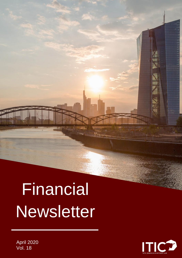# **Financial Newsletter**



e<br>Milit

j.

M illlll

April 2020 Vol. 18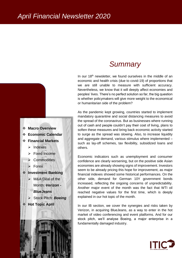

# *Summary*

In our 18<sup>th</sup> newsletter, we found ourselves in the middle of an economic and health crisis (due to covid-19) of proportions that we are still unable to measure with sufficient accuracy. Nevertheless, we know that it will deeply affect economies and peoples' lives. There's no perfect solution so far, the big question is whether policymakers will give more weight to the economical or humanitarian side of the problem?

As the pandemic kept growing, countries started to implement mandatory quarantine and social distancing measures to avoid the spread of the coronavirus. But as businesses where running out of cash and people couldn't pay their cost of living, plans to soften these measures and bring back economic activity started to surge as the spread was slowing. Also, to increase liquidity and aggregate demand, various stimulus where implemented – such as lay-off schemes, tax flexibility, subsidized loans and others.

Economic indicators such as unemployment and consumer confidence are clearly worsening, but on the positive side Asian economies are already showing signs of improvement. Investors seem to be already pricing this hope for improvement, as major financial indexes showed some historical performances. On the other side, demand for German 10Y government bonds increased, reflecting the ongoing concerns of unpredictability. Another major event of the month was the fact that WTI oil reached negative values for the first time, which is deeply explained in our hot topic of the month.

In our IB section, we cover the synergies and risks taken by Verizon, in acquiring BlueJeans, as a way to enter in the hot market of video conferencing and event platforms. And for our stock pitch, we'll analyse Boeing, a major enterprise in a fundamentally damaged industry.

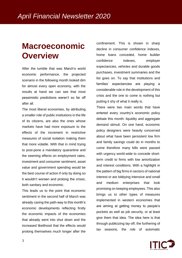# **Macroeconomic Overview**

After the tumble that was March's world economic performance, the projected scenario in the following month looked dim for almost every open economy, with the results at hand we can see that most pessimistic predictions weren't so far off after all.

The most liberal economies, by attributing a smaller role of public institutions in the life of its citizens, are also the ones whose markets have had more exposure to the effects of the increment in restrictive measures of social isolation making them that more volatile. With that in mind trying to post-pone a mandatory quarantine and the seeming effects on employment rates, investment and consumer sentiment, asset value and government spending would be the best course of action if only by doing so it wouldn't worsen and prolong the crises, both sanitary and economic.

This leads us to the point that economic sentiment in the second half of March was already caving the path-way to this month's economic developments reflecting firstly the economic impacts of the economies that already went into shut down and the increased likelihood that the effects would prolong themselves much longer after the

confinement. This is shown in sharp decline in consumer confidence indexes, home loans conceded, home builder confidence indexes, employer expectancies, vehicles and durable goods purchases, investment summaries and the list goes on. To say that institutions and families' expectancies are playing a considerable role in the development of this crisis and the one to come is nothing but putting it shy of what it really is.

There were two main words that have entered every country's economic policy debate this month: liquidity and aggregate demand stimuli. On one hand, economic policy designers were heavily concerned about what have been persistent low firm and family savings could do in months to come therefore many bills were passed with urgency world-wide to concede shortterm credit to firms with low amortization and interest conditions. With a highlight in the pattern of big firms in sectors of national interest or are lobbying intensive and small and medium enterprises that look promising on keeping employees. This also brings us to other types of measures implemented in western economies that are aiming at getting money to people's pockets as well as job security, or at least give them that idea. The idea here is that through publicizing lay-off, the furthering of tax seasons, the role of automatic

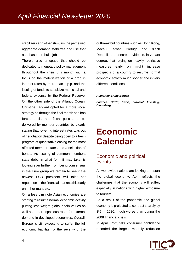stabilizers and other stimulus the perceived aggregate demand stabilizes and use that as a base to rebuild jobs.

There's also a space that should be dedicated to monetary policy management throughout the crisis this month with a focus on the materialization of a drop in interest rates by more than 1 p.p. and the issuing of funds to subsidize municipal and federal expense by the Federal Reserve. On the other side of the Atlantic Ocean, Christine Laggard opted for a more vocal strategy as through the final month she has forced social and fiscal policies to be delivered by member countries by clearly stating that lowering interest rates was out of negotiation despite being open to a fresh program of quantitative easing for the most affected member states and a selection of bonds. As issuing of common members state debt, in what form it may take, is looking ever further from being consensual in the Euro group we remain to see if the newest ECB president will taint her reputation in the financial markets this early on in her mandate.

On a less dim note Asian economies are starting to resume normal economic activity putting less weight global chain values as well as a more spacious room for external demand in developed economies. Overall, Europe is still expecting to suffer the full economic backlash of the severity of the outbreak but countries such as Hong Kong, Macau, Taiwan, Portugal and Czech Republic are concrete evidence, in variant degree, that relying on heavily restrictive measures early on might increase prospects of a country to resume normal economic activity much sooner and in very different conditions.

#### *Author(s): Bruno Borges*

*Sources: OECD; FRED; Eurostat; Investing; Bloomberg*

# **Economic Calendar**

### Economic and political events

As worldwide nations are looking to restart the global economy, April reflects the challenges that the economy will suffer, especially in nations with higher exposure to tourism.

As a result of the pandemic, the global economy is projected to contract sharply by 3% in 2020, much worse than during the 2008 financial crisis.

In April, Portugal's consumer confidence recorded the largest monthly reduction

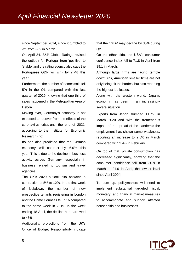since September 2014, since it tumbled to -21 from -9.9 in March.

On April 24, S&P Global Ratings revised the outlook for Portugal from 'positive' to 'stable' and the rating agency also says the Portuguese GDP will sink by 7.7% this year.

Furthermore, the number of homes sold fell 5% in the Q1 compared with the last quarter of 2019, knowing that one-third of sales happened in the Metropolitan Area of Lisbon.

Moving over, Germany's economy is not expected to recover from the [effects of the](https://www.dw.com/en/coronavirus-costs-wont-blow-hole-in-german-budget-minister-says/a-53176943)  [coronavirus crisis](https://www.dw.com/en/coronavirus-costs-wont-blow-hole-in-german-budget-minister-says/a-53176943) until the end of 2021, according to the Institute for Economic Research (Ifo).

Ifo has also predicted that the German economy will contract by 6.6% this year. This is due to the decline in business activity across Germany, especially in business related to tourism and travel agencies.

The UK's 2020 outlook sits between a contraction of 5% to 12%. In the first week of lockdown, the number of new prospective tenants registering in London and the Home Counties fell 77% compared to the same week in 2019. In the week ending 18 April, the decline had narrowed to 46%.

Additionally, projections from the UK's Office of Budget Responsibility indicate that their GDP may decline by 35% during Q2.

On the other side, the USA's consumer confidence index fell to 71.8 in April from 89.1 in March.

Although large firms are facing terrible downturns, American smaller firms are not only being hit the hardest but also reporting the highest job losses.

Along with the western world, Japan's economy has been in an increasingly severe situation.

Exports from Japan slumped 11.7% in March 2020 and with the tremendous impact of the spread of the pandemic the employment has shown some weakness, reporting an increase to 2.5% in March compared with 2.4% in February.

On top of that, private consumption has decreased significantly, showing that the consumer confidence fell from 30.9 in March to 21.6 in April, the lowest level since April 2004.

To sum up, policymakers will need to implement substantial targeted fiscal, monetary, and financial market measures to accommodate and support affected households and businesses.

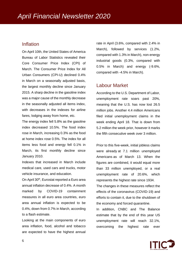### Inflation

On April 10th, the United States of America Bureau of Labor Statistics revealed their Core Consumer Price Index (CPI) of March. The Consumer Price Index for All Urban Consumers (CPI-U) declined 0.4% in March on a seasonally adjusted basis, the largest monthly decline since January 2015. A sharp decline in the gasoline index was a major cause of the monthly decrease in the seasonally adjusted all items index, with decreases in the indexes for airline fares, lodging away from home, etc.

The energy index fell 5.8% as the gasoline index decreased 10.5%. The food index rose in March, increasing 0.3% as the food at home index rose 0.5%. The index for all items less food and energy fell 0.1% in March, its first monthly decline since January 2010.

Indexes that increased in March include medical care, used cars and trucks, motor vehicle insurance, and education.

On April 30<sup>th</sup>, Eurostat reported a Euro area annual inflation decrease of 0.4%. A month marked by COVID-19 containment measures in all euro area countries, euro area annual inflation is expected to be 0.4%, down from 0.7% in March, according to a flash estimate.

Looking at the main components of euro area inflation, food, alcohol and tobacco are expected to have the highest annual rate in April (3.6%, compared with 2.4% in March), followed by services (1.2%, compared with 1.3% in March), non-energy industrial goods (0.3%, compared with 0.5% in March) and energy (-9.6%, compared with -4.5% in March).

### Labour Market

According to the U.S. Department of Labor, unemployment rate soars past 20%, meaning that the U.S. has now lost 26.5 million jobs. Another 4.4 million Americans filed initial unemployment claims in the week ending April 18. That is down from 5.2 million the week prior, however it marks the fifth consecutive week over 3 million.

Prior to this five-week, initial jobless claims were already at [7.1 million unemployed](https://fred.stlouisfed.org/series/UNEMPLOY)  [Americans](https://fred.stlouisfed.org/series/UNEMPLOY) as of March 13. When the figures are combined, it would equal more than 33 million unemployed, or a real unemployment rate of 20.6%, which represents the highest rate since 1934.

The changes in these measures reflect the effects of the coronavirus (COVID-19) and efforts to contain it, due to the shutdown of the economy and forced quarantine.

In addition, CNBC and The Balance estimate that by the end of this year US unemployment rate will reach 32.1%, overcoming the highest rate ever

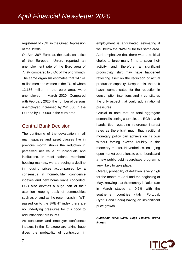registered of 25%, in the Great Depression of the 1930s.

On April 30<sup>th</sup>, Eurostat, the statistical office of the European Union, reported an unemployment rate of the Euro area of 7.4%, compared to 6.6% of the prior month. The same organism estimates that 14.141 million men and women in the EU, of whom 12.156 million in the euro area, were unemployed in March 2020. Compared with February 2020, the number of persons unemployed increased by 241.000 in the EU and by 197.000 in the euro area.

### Central Bank Decision

The continuing of the devaluation in all main squares and asset classes like in previous month shows the reduction in perceived net value of individuals and institutions. In most national members' housing markets, we are seeing a decline in housing prices accompanied by a consensus in homebuilder confidence indexes and new home loans conceded. ECB also devotes a huge part of their attention keeping track of commodities such as oil and as the recent crash in WTI passed on to the BRENT index there are no underlying pressures for this good to add inflationist pressures.

As consumer and employer confidence indexes in the Eurozone are taking huge dives the probability of contraction in

employment is aggravated estimating it well below the NAWRU for this same area. April emphasize that there was a political choice to force many firms to seize their activity and therefore a significant productivity shift may have happened reflecting itself on the reduction of actual production capacity. Despite this, the shift hasn't compensated for the reduction in consumption intentions and it constitutes the only aspect that could add inflationist pressures.

Crucial to note that as total aggregate demand is seeing a tumble, the ECB is with hands tied regarding reference interest rates as there isn't much that traditional monetary policy can achieve on its own without forcing excess liquidity in the monetary market. Nevertheless, enlarging open market operations to other bonds and a new public debt repurchase program is very likely to take place.

Overall, probability of deflation is very high for the month of April and the beginning of May, knowing that the monthly inflation rate in March stayed at 0,7% with the southerner countries (Italy, Portugal, Cyprus and Spain) having an insignificant price growth.

*Author(s): Tânia Caria; Tiago Teixeira; Bruno Borges*

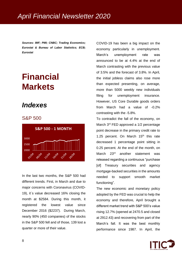*Sources: IMF; PMI; CNBC; Trading Economics; Eurostat & Bureau of Labor Statistics; ECB; Eurostat*

# **Financial Markets**

# *Indexes*

### S&P 500



In the last two months, the S&P 500 had different trends. First, in March and due to major concerns with Coronavirus (COVID-19), it´s value decreased 16% closing the month at \$2584. During this month, it registered the lowest value since December 2016 (\$2237). During March, nearly 90% (450 companies) of the stocks in the S&P 500 fell and of those, 139 lost a quarter or more of their value.

COVID-19 has been a big impact on the economy particularly in unemployment. March's unemployment rate was announced to be at 4.4% at the end of March contrasting with the previous value of 3.5% and the forecast of 3.8%. In April, the initial jobless claims also rose more than expected presenting, on average, more than 5000 weekly new individuals filing for unemployment insurance. However, US Core Durable goods orders from March had a value of -0.2% contrasting with the -5.8%.

To contradict the fall of the economy, on March 3<sup>rd</sup> FED approved a 1/2 percentage point decrease in the primary credit rate to 1.25 percent. On March  $15<sup>th</sup>$  this rate decreased 1 percentage point sitting in 0.25 percent. At the end of the month, on March 23<sup>rd</sup> another statement was released regarding a continuous "purchase [of] Treasury securities and agency mortgage-backed securities in the amounts needed to support smooth market functioning".

The new economic and monetary policy adopted by the FED was crucial to help the economy and therefore, April brought a different market trend with S&P 500's value rising 12.7% (opened at 2470.5 and closed at 2912.43) and recovering from part of the March's fall. It was the best monthly performance since 1987. In April, the

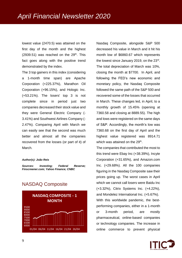lowest value (2470.5) was attained on the first day of the month and the highest  $(2939.51)$  was reached on the  $29<sup>th</sup>$ . This fact goes along with the positive trend demonstrated by the index.

The 3 top gainers in this index (considering a 1-month time span) are Apache Corporation (+225.37%), Marathon Oil Corporation (+96.15%), and Hologic Inc. (+53.21%). The losers' top 3 is not complete since in period just two companies decreased their stock value and they were General Electric Company (- 3.41%) and Southwest Airlines Company (- 2.47%). Comparing April with March we can easily see that the second was much better and almost all the companies recovered from the losses (or part of it) of March.

#### *Author(s): João Reis*

*Sources: Investing; Federal Reserve; Finscreener.com; Yahoo Finance; CNBC*

### NASDAQ Composite



Nasdaq Composite, alongside S&P 500 decreased his value in March and it hit his month low of \$6860.67 which represents the lowest since January 2019, on the 23rd . The total depreciation of March was 10%, closing the month at \$7700. In April, and following the FED's new economic and monetary policy, the Nasdaq Composite followed the same path of the S&P 500 and recovered some of the losses that occurred in March. These changes led, in April, to a monthly growth of 15.45% (opening at 7360.58 and closing at 8889.55). The high and lows were registered on the same days of S&P. Accordingly, the month's low was 7360.68 on the first day of April and the highest value registered was 8914.71 which was attained on the 29<sup>th</sup>.

The companies that contributed the most to this trend were Ebay Inc (+38.39%), Incyte Corporation (+31.65%), and Amazon.com Inc. (+29.68%). All the 100 companies figuring in the Nasdaq Composite saw their prices going up. The worst cases in April which we cannot call losers were Baidu Inc (+3.32%), Citrix Systems Inc. (+4.22%), and Mondelez International Inc. (+5.67%). With this worldwide pandemic, the bestperforming companies, either in a 1-month or 3-month period, are mostly pharmaceutical, online-based companies or technology companies. The increase in online commerce to prevent physical

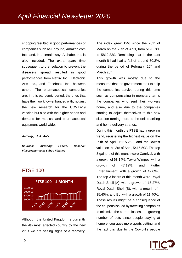shopping resulted in good performances of companies such as Ebay Inc, Amazon.com Inc., and, in a certain way, Alphabet Inc. is also included. The extra spare time subsequent to the isolation to prevent the disease's spread resulted in good performances from Netflix Inc., Electronic Arts Inc., and Facebook Inc. between others. The pharmaceutical companies are, in this pandemic period, the ones that have their workflow enhanced with, not just the new research for the COVID-19 vaccine but also with the higher needs and demand for medical and pharmaceutical equipment world-wide.

#### *Author(s): João Reis*

*Sources: Investing; Federal Reserve; Finscreener.com; Yahoo Finance*

### FTSE 100



Although the United Kingdom is currently the 4th most affected country by the new virus we are seeing signs of a recovery. The index grew 12% since the 20th of March on the 20th of April, from 5190.78£ to 5812.83£. Reminding that in the past month it had had a fall of around 30.2%, during the period of February 20<sup>th</sup> and March 20<sup>th.</sup>

This growth was mostly due to the measures that the government took to help the companies survive during this time such as compensating in monetary terms the companies who sent their workers home, and also due to the companies starting to adjust themselves to this new situation turning more to the online selling and home delivery strands.

During this month the FTSE had a growing trend, registering the highest value on the 29th of April, 6115.25£, and the lowest value on the 3rd of April, 5415.50£. The top 3 gainers of this month were Carnival, with a growth of 63.14%, Taylor Wimpey, with a growth of 47.19%, and Flutter Entertainment, with a growth of 42.69%. The top 3 losers of this month were Royal Dutch Shell (A), with a growth of -16.27%, Royal Dutch Shell (B), with a growth of - 15.40%, and Bp, with a growth of 11.40%. These results might be a consequence of the coupons issued by traveling companies to minimize the current losses, the growing number of bets since people staying at home encourages more sports betting, and the fact that due to the Covid-19 people

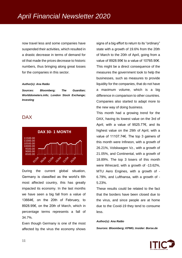now travel less and some companies have suspended their activities, which resulted in a drastic decrease in terms of demand for oil that made the prices decrease to historic numbers, thus bringing along great losses for the companies in this sector.

#### *Author(s): Ana Ratão*

*Sources: Bloomberg; The Guardian; Worlddometers.info; London Stock Exchange; Investing*

## DAX



During the current global situation, Germany is classified as the world's 6th most affected country, this has greatly impacted its economy. In the last months we have seen a big fall from a value of 13664€, on the 20th of February, to 8928.95€, on the 20th of March, which in percentage terms represents a fall of 34.7%.

Even though Germany is one of the most affected by the virus the economy shows signs of a big effort to return to its "ordinary" state with a growth of 19.6% from the 20th of March to the 20th of April, going from a value of 8928.95€ to a value of 10765.90€. This might be a direct consequence of the measures the government took to help the businesses, such as measures to provide liquidity for the companies, that do not have a maximum volume, which is a big difference in comparison to other countries. Companies also started to adapt more to the new way of doing business.

This month had a growing trend for the DAX, having its lowest value on the 3rd of April, with a value of 9525.77€, and its highest value on the 29th of April, with a value of 11107.74€. The top 3 gainers of this month were Infineon, with a growth of 26.21%, Volskwagen Vz., with a growth of 21.05%, and Continental, with a growth of 18.89%. The top 3 losers of this month were Wirecard, with a growth of -13.62%, MTU Aero Engines, with a growth of - 6.79%, and Lufthansa, with a growth of - 5.23%.

These results could be related to the fact that the borders have been closed due to the virus, and since people are at home due to the Covid-19 they tend to consume less.

#### *Author(s): Ana Ratão*

*Sources: Bloomberg; KPMG; Insider: Borse.de*

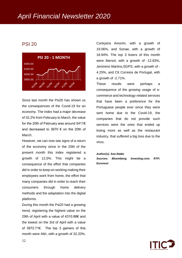# *April Financial Newsletter 2020*

# PSI 20



Since last month the Psi20 has shown us the consequences of the Covid-19 for an economy. The index had a major decrease of 32,2% from February to March, the value for the 20th of February was around 5411€ and decreased to 3670 € on the 20th of March.

However, we can now see signs of a return of the economy since in the 20th of the present month this index registered a growth of 12,5%. This might be a consequence of the effort that companies did in order to keep on working making their employees work from home, the effort that many companies did in order to reach their consumers through home delivery methods and the adaptation into the digital platforms.

During this month the Psi20 had a growing trend, registering the highest value on the 29th of April with a value of 4310.88€ and the lowest on the 3rd of April with a value of 3972.71€. The top 3 gainers of this month were Altri, with a growth of 32.20%, Cortiçeira Amorim, with a growth of 19.06%, and Sonae, with a growth of 18.94%. The top 3 losers of this month were Ibersol, with a growth of -12.83%, Jerónimo Martins,SGPS, with a growth of - 4.25%, and Ctt Correios de Portugal, with a growth of -2.71%.

These results were perhaps a consequence of the growing usage of ecommerce and technology-related services that have been a preference for the Portuguese people ever since they were sent home due to the Covid-19, the companies that do not provide such services were the ones that ended up losing more as well as the restaurant industry, that suffered a big loss due to the virus.

*Author(s): Ana Ratão Sources: Bloomberg; Investing.com; RTP; Euronext*

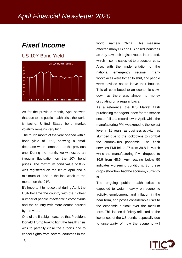# *Fixed Income*

### US 10Y Bond Yield



As for the previous month, April showed that due to the public health crisis the world is facing, United States bond market volatility remains very high.

The fourth month of the year opened with a bond yield of 0.62, showing a small decrease when compared to the previous one. During the month, we witnessed an irregular fluctuation on the 10Y bond prices. The maximum bond value of 0.77 was registered on the  $8<sup>th</sup>$  of April and a minimum of 0.58 in the last week of the month, on the 21<sup>st</sup>.

It's important to notice that during April, the USA became the country with the highest number of people infected with coronavirus and the country with more deaths caused by the virus.

One of the first big measures that President Donald Trump took to fight the health crisis was to partially close the airports and to cancel flights from several countries in the

world, namely China. This measure affected many US and US based industries as they saw their logistic routes interrupted, which in some cases led to production cuts. Also, with the implementation of the national emergency regime, many workplaces were forced to shut, and people were advised not to leave their houses. This all contributed to an economic slowdown as there was almost no money circulating on a regular basis.

As a reference, the IHS Market flash purchasing managers index for the service sector fell to a record low in April, while the manufacturing PMI weakened to the lowest level in 11 years, as business activity has slumped due to the lockdowns to combat the coronavirus pandemic. The flash services PMI fell to 27 from 39.8 in March while the manufacturing PMI dropped to 36.9 from 48.5. Any reading below 50 indicates worsening conditions. So, these drops show how bad the economy currently is.

The ongoing public health crisis is expected to weigh heavily on economic activity, employment, and inflation in the near term, and poses considerable risks to the economic outlook over the medium term. This is then definitely reflected on the low prices of the US bonds, especially due to uncertainty of how the economy will

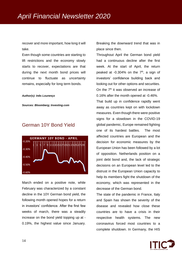recover and more important, how long it will take.

Even though some countries are starting to lift restrictions and the economy slowly starts to recover, expectations are that during the next month bond prices will continue to fluctuate as uncertainty remains, especially for long term bonds.

#### *Author(s): Inês Lourenço*

*Sources: Bloomberg; Investing.com*

## German 10Y Bond Yield



March ended on a positive note, while February was characterized by a constant decline in the 10Y German bond yield, the following month opened hopes for a return in investors' confidence. After the first few weeks of march, there was a steadily increase on the bond yield topping up at - 0.19%, the highest value since January.

Breaking the downward trend that was in place since then.

Throughout April the German bond yield had a continuous decline after the first week. At the start of April, the return peaked at  $-0.304\%$  on the  $7<sup>th</sup>$ , a sign of investors' confidence building back and looking out for other options and securities. On the  $7<sup>th</sup>$  it was observed an increase of 0.16% after the month opened at -0.46%.

That build up in confidence rapidly went away as countries kept on with lockdown measures. Even though there were positive signs for a slowdown in the COVID-19 global pandemic, Europe remained fighting one of its hardest battles. The most affected countries are European and the decision for economic measures by the European Union has been followed by a lot of opposition. Netherlands position on a joint debt bond and, the lack of strategic decisions on an European level led to the distrust in the European Union capacity to help its members fight the shutdown of the economy, which was represented in the decrease of the German bond.

The state of the pandemic in France, Italy and Spain has shown the severity of the disease and revealed how close these countries are to have a crisis in their respective health systems. The new coronavirus forced most countries to a complete shutdown. In Germany, the HIS

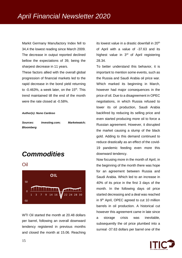Markit Germany Manufactory Index fell to 34,4 the lowest reading since March 2009. The decrease in output reported declined bellow the expectations of 39, being the sharpest decrease in 11 years.

These factors allied with the overall global progression of financial markets led to the rapid decrease in the bond yield returning to  $-0.463\%$ , a week later, on the 15<sup>th</sup>. This trend maintained till the end of the month were the rate closed at -0.58%.

#### *Author(s): Nuno Cardoso*

| Sources:         | Investing.com; | <b>Marketwatch:</b> |
|------------------|----------------|---------------------|
| <b>Bloomberg</b> |                |                     |

# *Commodities*

Oil



WTI Oil started the month at 20.48 dollars per barrel, following an overall downward tendency registered in previous months and closed the month at 15.06. Reaching

its lowest value in a drastic downfall in  $20<sup>th</sup>$ of April with a value of -37.63 and its highest value in 3<sup>rd</sup> of April registering 28.34.

To better understand this behavior, it is important to mention some events, such as the Russia and Saudi Arabia oil price war. Which marked its beginning in March, however had major consequences in the price of oil. Due to a disagreement in OPEC negotiations, in which Russia refused to lower its oil production, Saudi Arabia backfired by reducing its selling price and even started producing more oil to force a Russian agreement. However, it disrupted the market causing a slump of the black gold. Adding to this demand continued to reduce drastically as an effect of the covid-19 pandemic feeding even more this downward tendency.

Now focusing more in the month of April, in the beginning of the month there was hope for an agreement between Russia and Saudi Arabia. Which led to an increase in 40% of its price in the first 3 days of the month. In the following days oil price started decreasing and a deal was reached in 9<sup>th</sup> April, OPEC agreed to cut 10 million barrels in oil production. A historical cut however this agreement came in late since a storage crisis was inevitable, subsequently the oil price plumbed into a surreal -37.63 dollars per barrel one of the

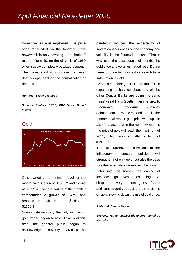lowest values ever registered. The price soon rebounded on the following days however it is only covering up a "broken" market. Reminiscing the oil crisis of 1980 when supply completely outsized demand. The future of oil is now more than ever deeply dependent on the normalization of demand.

#### *Author(s): Diogo Leonardo*

*Sources: Reuters; CNBC; BBC News; Market Insider*

### Gold



Gold started at its minimum level for the month, with a price of \$1605.2 and closed at \$1695.4. Over the course of the month it compounded a growth of 6.47% and reached its peak on the  $13<sup>th</sup>$  day, at \$1769.4.

Starting late February, the daily volumes of gold traded began to rose. Exactly at this time, the general public began to acknowledge the severity of Covid-19. The

pandemic induced the expectancy of severe consequences on the economy and volatility in the financial markets. That is why over the past couple of months the gold price and volumes traded rose. During times of uncertainty investors search for a safe haven in gold.

"What is happening here is that the FED is expanding its balance sheet and all the other Central Banks are doing the same thing" - said Hans Goetti, in an interview to Bloomberg. Long-term currency debasement is expected and that is the fundamental reason gold price went up. He also forecasts that in the next few months the price of gold will reach the maximum of 2011, which was an all-time high of \$1917.9.

The fiat currency pressure due to the inflationary monetary policies will strengthen not only gold, but also the case for other alternative currencies like bitcoin. Later into the month, the easing of lockdowns got investors assuming a Vshaped recovery, becoming less fearful and consequently reducing their positions on gold, slowing down the rise of gold price.

#### *Author(s): Gabriel Zancu*

*Sources: Yahoo Finance; Bloomberg; Jornal de Negócios*

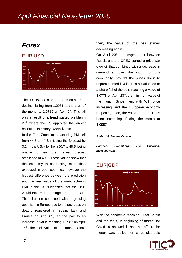# *Forex*

### EUR|USD



The EUR/USD started the month on a decline, falling from 1.0961 at the start of the month to 1.0785 on April  $6<sup>th</sup>$ . This fall was a result of a trend started on March 27<sup>th</sup> where the US approved the largest bailout in its history, worth \$2.2tn.

In the Euro Zone, manufacturing PMI fell from 44.8 to 44.5, missing the forecast by 0.2. In the US, it fell from 50.7 to 48.5, being unable to beat the market forecast stablished at 49.2. These values show that the economy is contracting more than expected in both countries, however the biggest difference between the prediction and the real value of the manufacturing PMI in the US suggested that the USD would face more damages than the EUR. This situation combined with a growing optimism in Europe due to the decrease on deaths registered in Spain, Italy and France on April  $6<sup>th</sup>$ , led the pair to an increase in value reaching 1.0987 on April  $14<sup>th</sup>$ , the pick value of the month. Since

then, the value of the pair started decreasing again.

On April 20<sup>th</sup>, a disagreement between Russia and the OPEC started a price war over oil that combined with a decrease in demand all over the world for this commodity, brought the prices down to unprecedented levels. This situation led to a sharp fall of the pair, reaching a value of 1.0778 on April 23rd, the minimum value of the month. Since then, with WTI price increasing and the European economy reopening soon, the value of the pair has been increasing. Ending the month at 1.0957.

#### *Author(s): Samuel Cavaco*

| Sources:      | <b>Bloomberg:</b> | The | Guardian: |
|---------------|-------------------|-----|-----------|
| Investing.com |                   |     |           |

### EUR|GDP



With the pandemic reaching Great Britain and the trials, in beginning of march, for Covid-19 showed it had no effect, the trigger was pulled for a considerable

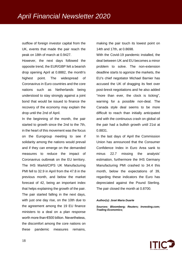outflow of foreign investor capital from the UK, events that made the pair reach the peak on 18th of march at 0.9427.

However, the next days followed the opposite trend, the EUR/GBP felt a bearish drop opening April at 0.8882, the month's highest point. The widespread of Coronavirus in Euro countries and the core nations such as Netherlands being understood to stay strongly against a joint bond that would be issued to finance the recovery of the economy may explain the drop until the 2nd of April.

In the beginning of the month, the pair started to growth since the 2nd to the 7th, in the heart of this movement was the focus on the Eurogroup meeting to see if solidarity among the nations would prevail and if they can emerge on the demanded measures to reduce the impact of Coronavirus outbreak on the EU territory. The IHS Markit/CIPS UK Manufacturing PMI fell to 32.9 in April from the 47.8 in the previous month, and below the market forecast of 42, being an important index that helps explaining the growth of the pair. The pair started falling in the next days, with just one day rise, on the 10th due to the agreement among the 19 EU finance ministers to a deal on a plan response worth more than €500 billion. Nevertheless, the discomfort among the core nations on these pandemic measures remains,

making the pair touch its lowest point on 14th and 17th, at 0.8698.

With the Covid-19 pandemic installed, the deal between UK and EU becomes a minor problem to solve. The non-extension deadline starts to agonize the markets, the EU's chief negotiator Michael Barnier has accused the UK of dragging its feet over post-brexit negotiations and he also added "more than ever, the clock is ticking", warning for a possible non-deal. The Canada style deal seems to be more difficult to reach than initially anticipated and with the continuous crash on global oil the pair had a bullish growth until 21st at 0.8831.

In the last days of April the Commission Union has announced that the Consumer Confidence Index in Euro Area sank to minus 22.7 missing the analysts' estimation, furthermore the IHS Germany Manufacturing PMI crashed to 34.4 this month, below the expectations of 39, regarding these indicators the Euro has depreciated against the Pound Sterling. The pair closed the month at 0.8700.

#### *Author(s): José Maria Duarte*

*Sources: Bloomberg; Reuters; Investing.com; Trading Economics;* 

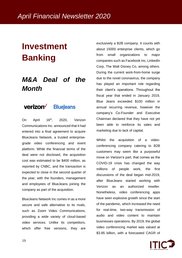# **Investment Banking**

# *M&A Deal of the Month*

#### verizon<sup>V</sup> **BlueJeans**

On April 16<sup>th</sup>, 2020, Verizon Communications Inc. announced that it had entered into a final agreement to acquire BlueJeans Network, a trusted enterprisegrade video conferencing and event platform. While the financial terms of the deal were not disclosed, the acquisition cost was estimated to be \$400 million, as reported by CNBC, and the transaction is expected to close in the second quarter of the year, with the founders, management and employees of BlueJeans joining the company as part of the acquisition.

BlueJeans Network Inc comes in as a more secure and safe alternative to its rivals. such as Zoom Video Communications, providing a wide variety of cloud-based video services. Unlike its competitors, which offer free versions, they are

exclusively a B2B company. It counts with about 15000 enterprise clients, which go from small organizations to major companies such as Facebook Inc, LinkedIn Corp, The Walt Disney Co, among others. During the current work-from-home surge due to the novel coronavirus, the company has played an important role regarding their client's operations. Throughout the fiscal year that ended in January 2019, Blue Jeans exceeded \$100 million in annual recurring revenue, however the company's Co-Founder and Executive Chairman declared that they have not yet been able to reinforce its sales and marketing due to lack of capital.

Whilst the acquisition of a videoconferencing company catering to B2B customers may seem like a purposeful move on Verizon's part, that comes as the COVID-19 crisis has changed the way millions of people work, the first discussions of the deal began mid-2019, after BlueJeans started working with Verizon as an authorized reseller. Nonetheless, video conferencing apps have seen explosive growth since the start of the pandemic, which increased the need for real-time, two-way transmission of audio and video content to maintain businesses operations. By 2019, the global video conferencing market was valued at \$3.85 billion, with a forecasted CAGR of

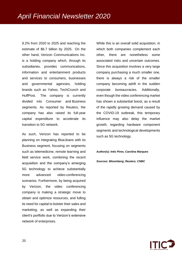9.2% from 2020 to 2025 and reaching the estimate of \$6.7 billion by 2025. On the other hand, Verizon Communications Inc. is a holding company which, through its subsidiaries, provides communications, information and entertainment products and services to consumers, businesses and governmental agencies, holding brands such as Yahoo, TechCrunch and HuffPost. The company is currently divided into Consumer and Business segments. As reported by Reuters, the company has also raised its full-year capital expenditure to accelerate its transition to 5G network.

As such, Verizon has reported to be planning on integrating BlueJeans with its Business segment, focusing on segments such as telemedicine, remote learning and field service work, combining the recent acquisition and the company's emerging 5G technology to achieve substantially more advanced video-conferencing scenarios. Furthermore, by being acquired by Verizon, the video conferencing company is making a strategic move to obtain and optimize resources, and fulling its need for capital to bolster their sales and marketing, as well as expanding their client's portfolio due to Verizon's extensive network of enterprises.

While this is an overall solid acquisition, in which both companies complement each other, there are nonetheless some associated risks and uncertain outcomes. Since this acquisition involves a very large company purchasing a much smaller one, there is always a risk of the smaller company becoming adrift in the sudden corporate bureaucracies. Additionally, even though the video conferencing market has shown a substantial boost, as a result of the rapidly growing demand caused by the COVID-19 outbreak, this temporary influence may also delay the market growth, regarding hardware component segments and technological developments such as 5G technology.

*Author(s): Inês Pires; Carolina Marques*

*Sources: Bloomberg; Reuters; CNBC*

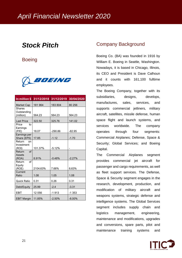# *Stock Pitch*

**Boeing** 



|                         | In million \$ 31/12/2018 | 31/12/2019 | 30/04/2020 |
|-------------------------|--------------------------|------------|------------|
| Market Cap              | 181 964                  | 183804     | 80 256     |
| <b>Shares</b>           |                          |            |            |
| Outstanding             |                          |            |            |
| (million)               | 564.23                   | 564.23     | 564.23     |
| <b>Last Price</b>       | 322.50                   | 325.76     | 141.02     |
| Price<br>to             |                          |            |            |
| Earnings                |                          |            |            |
| (P/E)                   | 18.07                    | $-290.86$  | $-82.95$   |
| Earnings per            |                          |            |            |
| Share (EPS)             | 17.85                    | $-1.12$    | $-1.70$    |
| Return<br><sub>on</sub> |                          |            |            |
| Investment              | 101.37%                  | $-5.12%$   |            |
| (ROI)<br>of<br>Return   |                          |            |            |
| <b>Assets</b>           |                          |            |            |
| (ROA)                   | 8.91%                    | $-0.48%$   | $-2.27%$   |
| $\alpha$ f<br>Return    |                          |            |            |
| Equity                  |                          |            |            |
| (ROE)                   | 2104.63%                 | 7.66%      | 6.63%      |
| Current                 |                          |            |            |
| Ratio                   | 1.08                     | 1.05       | 1.08       |
| <b>Quick Ratio</b>      | 0.31                     | 0.26       | 0.31       |
| Debt/Equity             | 25.99                    | $-2.4$     | $-3.31$    |
| <b>EBIT</b>             | 12 056                   | $-1913$    | $-1353$    |
| <b>EBIT Margin</b>      | 11.85%                   | $-2.50%$   | $-8.00\%$  |

### Company Background

Boeing Co. (BA) was founded in 1916 by William E. Boeing in Seattle, Washington. Nowadays, it is based in Chicago, Illinois, its CEO and President is Dave Calhoun and it counts with 161,100 fulltime employees.

The Boeing Company, together with its subsidiaries, designs, develops, manufactures, sales, services, and supports commercial jetliners, military aircraft, satellites, missile defense, human space flight and launch systems, and services worldwide. The company operates through four segments: Commercial Airplanes; Defense, Space & Security; Global Services; and Boeing Capital.

The Commercial Airplanes segment provides commercial jet aircraft for passenger and cargo requirements, as well as fleet support services. The Defense, Space & Security segment engages in the research, development, production, and modification of military aircraft and weapons systems, strategic defense and intelligence systems. The Global Services segment includes supply chain and logistics management, engineering, maintenance and modifications, upgrades and conversions, spare parts, pilot and maintenance training systems and

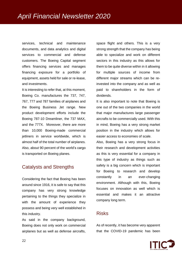services, technical and maintenance documents, and data analytics and digital services to commercial and defense customers. The Boeing Capital segment offers financing services and manages financing exposure for a portfolio of equipment, assets held for sale or re-lease, and investments.

It is interesting to refer that, at this moment, Boeing Co. manufactures the 737, 747, 767, 777 and 787 families of airplanes and the Boeing Business Jet range. New product development efforts include the Boeing 787-10 Dreamliner, the 737 MAX, and the 777X. Moreover, there are more than 10,000 Boeing-made commercial jetliners in service worldwide, which is almost half of the total number of airplanes. Also, about 90 percent of the world's cargo is transported on Boeing planes.

# Catalysts and Strengths

Considering the fact that Boeing has been around since 1916, it is safe to say that this company has very strong knowledge pertaining to the things they specialize in with the amount of experience they possess and being very well established in this industry.

As said in the company background, Boeing does not only work on commercial airplanes but as well as defense aircrafts,

space flight and others. This is a very strong strength that the company has being able to specialize and work on different sectors in this industry as this allows for them to be quite diverse within in it allowing for multiple sources of income from different major streams which can be reinvested into the company and as well as paid to shareholders in the form of dividends.

It is also important to note that Boeing is one out of the two companies in the world that major manufactures large passenger aircrafts to be commercially used. With this in mind, Boeing has a very strong market position in the industry which allows for easier access to economies of scale.

Also, Boeing has a very strong focus in their research and development activities as this is very essential for a company in this type of industry as things such as safety is a big concern which is important for Boeing to research and develop constantly in an ever-changing environment. Although with this, Boeing focuses on innovation as well which is essential and makes it an attractive company long term.

### Risks

As of recently, it has become very apparent that the COVID-19 pandemic has been

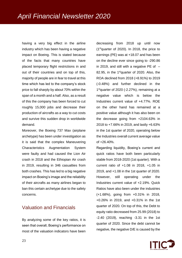having a very big effect in the airline industry which has been having a negative impact on Boeing. This is stated because of the facts that many countries have placed temporary flight restrictions in and out of their countries and on top of this, majority of people are in fear to travel at this time which has led to the company's stock price to fall sharply by about 70% within the span of a month and a half. Also, as a result of this the company has been forced to cut roughly 15,000 jobs and decrease their production of aircrafts as a way to cut costs and survive this sudden drop in worldwide demand.

Moreover, the Boeing 737 Max (airplane archetype) has been under investigation as it is said that the complex Maneuvering Characteristics Augmentation System were faulty and had caused the Lion Air crash in 2018 and the Ethiopian Air crash in 2019, resulting in 346 casualties from both crashes. This has led to a big negative impact on Boeing's image and the reliability of their aircrafts as many airlines began to ban this certain archetype due to the safety concerns.

# Valuation and Financials

By analyzing some of the key ratios, it is seen that overall, Boeing's performance on most of the valuation indicators have been

decreasing from 2018 up until now  $(1<sup>st</sup>$ quarter of 2020). In 2018, the price to earnings (PE) was at +18.07 and has been on the decline ever since going to -290.86 in 2019, and still with a negative PE of  $-$ 82.95, in the 1<sup>st</sup>quarter of 2020. Also, the ROA declined from 2018 (+8.91%) to 2019 (-0.48%) and further declined in the 1<sup>st</sup>quarter of 2020 (-2.27%), remaining at a negative value which is below the Industries current value of +4.77%. ROE on the other hand has remained at a positive value although it has also been on the decrease going from +2104.63% in 2018 to +7.66% in 2019, and lastly +6.63% in the 1st quarter of 2020, operating below the Industries overall current average value of +26.40%.

Regarding liquidity, Boeing's current and quick ratios have both been particularly stable from 2018-2020 (1st quarter). With a current ratio of +1.08 in 2018, +1.05 in 2019, and +1.08 in the 1st quarter of 2020. However, still operating under the Industries current value of +2.19%. Quick Ratios have also been under the industries (+1.68%), going from +0.31% in 2018, +0.26% in 2019, and +0.31% in the 1st quarter of 2020. On top of this, the Debt to equity ratio decreased from 25.99 (2018) to -2.40 (2019), reaching -3.31 in the 1st quarter of 2020. Since the debt cannot be negative, the negative D/E is caused by the

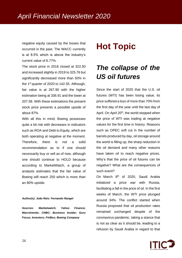negative equity caused by the losses that occurred in the past. The WACC currently is at 8.5% which is above the industry's current value of 6.77%.

The stock price in 2018 closed at 322.50 and increased slightly in 2019 to 325.76 but significantly decreased more than 50% in the 1st quarter of 2020 to 142.55. Although, fair value is at 267.90 with the higher estimation being at 336.91 and the lower at 207.58. With these estimations the present stock price presents a possible upside of about 87%.

With all this in mind, Boeing possesses quite a bit risk with decreases in indicators such as ROA and Debt to Equity, which are both operating at negative at the moment. Therefore, there is not a solid recommendation as to if one should necessarily buy or sell as of now, although one should continue to HOLD because according to MarketWatch, a group of analysts estimates that the fair value of Boeing will reach 250 which is more than an 80% upside.

#### *Author(s): João Reis: Fernando Rangel*

*Sources: Marketwatch; Yahoo Finance; Macrotrends; CNBC; Business Insider; Guru Focus; Investors; FinBox; Boeing Company*

# **Hot Topic**

# *The collapse of the US oil futures*

Since the start of 2020 that the U.S. oil futures (WTI) has been losing value, its price suffered a loss of more than 70% from the first day of the year until the last day of April. On April 20<sup>th</sup>, the world stopped when the price of WTI was trading at negative values for the first time in history. Reasons such as OPEC soft cut in the number of barrels produced by day, oil storage around the world is filling up, the sharp reduction in the oil demand and many other reasons have taken oil to reach negative prices. Why's that the price of oil futures can be negative? What are the consequences of such event?

On March 8<sup>th</sup> of 2020, Saudi Arabia initialized a price war with Russia, facilitating a fall in the price of oil. In the first weeks of March, the WTI price plunged around 34%. The conflict started when Russia proposed that oil production rates remained unchanged despite of the coronavirus pandemic, taking a stance that is not as clear as it should be, leading to a refusion by Saudi Arabia in regard to that